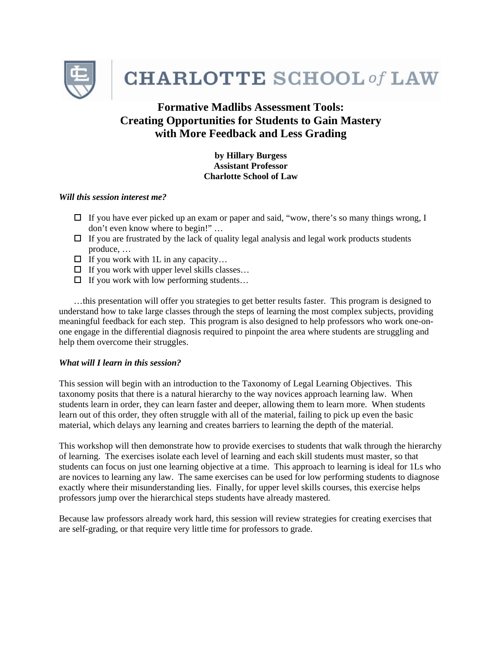

**CHARLOTTE SCHOOL of LAW** 

# **Formative Madlibs Assessment Tools: Creating Opportunities for Students to Gain Mastery with More Feedback and Less Grading**

**by Hillary Burgess Assistant Professor Charlotte School of Law** 

### *Will this session interest me?*

- $\Box$  If you have ever picked up an exam or paper and said, "wow, there's so many things wrong, I don't even know where to begin!" …
- $\Box$  If you are frustrated by the lack of quality legal analysis and legal work products students produce, …
- $\Box$  If you work with 1L in any capacity...
- $\Box$  If you work with upper level skills classes...
- $\Box$  If you work with low performing students...

…this presentation will offer you strategies to get better results faster. This program is designed to understand how to take large classes through the steps of learning the most complex subjects, providing meaningful feedback for each step. This program is also designed to help professors who work one-onone engage in the differential diagnosis required to pinpoint the area where students are struggling and help them overcome their struggles.

## *What will I learn in this session?*

This session will begin with an introduction to the Taxonomy of Legal Learning Objectives. This taxonomy posits that there is a natural hierarchy to the way novices approach learning law. When students learn in order, they can learn faster and deeper, allowing them to learn more. When students learn out of this order, they often struggle with all of the material, failing to pick up even the basic material, which delays any learning and creates barriers to learning the depth of the material.

This workshop will then demonstrate how to provide exercises to students that walk through the hierarchy of learning. The exercises isolate each level of learning and each skill students must master, so that students can focus on just one learning objective at a time. This approach to learning is ideal for 1Ls who are novices to learning any law. The same exercises can be used for low performing students to diagnose exactly where their misunderstanding lies. Finally, for upper level skills courses, this exercise helps professors jump over the hierarchical steps students have already mastered.

Because law professors already work hard, this session will review strategies for creating exercises that are self-grading, or that require very little time for professors to grade.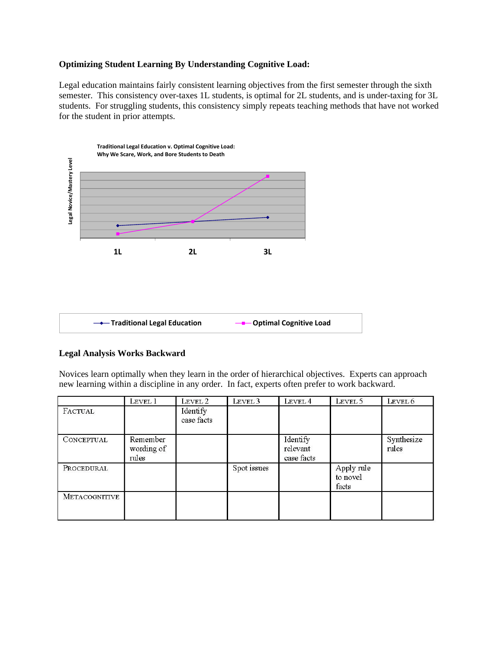## **Optimizing Student Learning By Understanding Cognitive Load:**

Legal education maintains fairly consistent learning objectives from the first semester through the sixth semester. This consistency over-taxes 1L students, is optimal for 2L students, and is under-taxing for 3L students. For struggling students, this consistency simply repeats teaching methods that have not worked for the student in prior attempts.



## **Legal Analysis Works Backward**

Novices learn optimally when they learn in the order of hierarchical objectives. Experts can approach new learning within a discipline in any order. In fact, experts often prefer to work backward.

|                      | Level 1                         | LEVEL 2                | LEVEL 3     | LEVEL 4                            | LEVEL 5                         | Level 6             |
|----------------------|---------------------------------|------------------------|-------------|------------------------------------|---------------------------------|---------------------|
| FACTUAL              |                                 | Identify<br>case facts |             |                                    |                                 |                     |
| CONCEPTUAL           | Remember<br>wording of<br>rules |                        |             | Identify<br>relevant<br>case facts |                                 | Synthesize<br>rules |
| PROCEDURAL           |                                 |                        | Spot issues |                                    | Apply rule<br>to novel<br>facts |                     |
| <b>METACOGNITIVE</b> |                                 |                        |             |                                    |                                 |                     |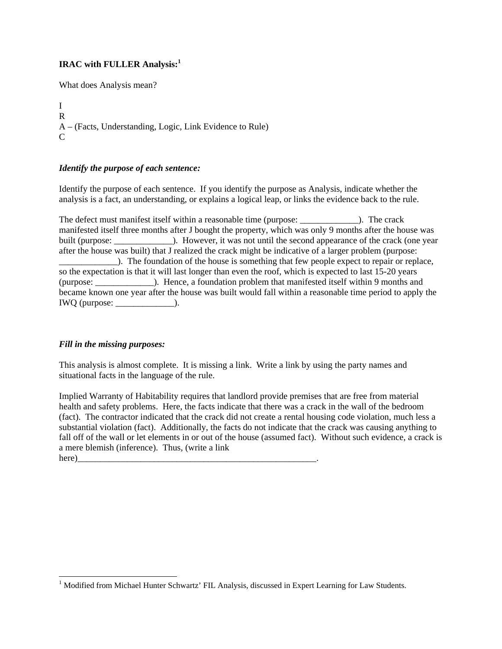# **IRAC with FULLER Analysis:<sup>1</sup>**

What does Analysis mean?

I R A – (Facts, Understanding, Logic, Link Evidence to Rule)  $\mathcal{C}$ 

## *Identify the purpose of each sentence:*

Identify the purpose of each sentence. If you identify the purpose as Analysis, indicate whether the analysis is a fact, an understanding, or explains a logical leap, or links the evidence back to the rule.

The defect must manifest itself within a reasonable time (purpose:  $\qquad \qquad$ ). The crack manifested itself three months after J bought the property, which was only 9 months after the house was built (purpose:  $\qquad \qquad$ ). However, it was not until the second appearance of the crack (one year after the house was built) that J realized the crack might be indicative of a larger problem (purpose: \_\_\_\_\_\_\_\_\_\_\_\_\_). The foundation of the house is something that few people expect to repair or replace, so the expectation is that it will last longer than even the roof, which is expected to last 15-20 years (purpose: \_\_\_\_\_\_\_\_\_\_\_\_\_). Hence, a foundation problem that manifested itself within 9 months and became known one year after the house was built would fall within a reasonable time period to apply the IWQ (purpose: \_\_\_\_\_\_\_\_\_\_\_\_\_).

## *Fill in the missing purposes:*

l

This analysis is almost complete. It is missing a link. Write a link by using the party names and situational facts in the language of the rule.

Implied Warranty of Habitability requires that landlord provide premises that are free from material health and safety problems. Here, the facts indicate that there was a crack in the wall of the bedroom (fact). The contractor indicated that the crack did not create a rental housing code violation, much less a substantial violation (fact). Additionally, the facts do not indicate that the crack was causing anything to fall off of the wall or let elements in or out of the house (assumed fact). Without such evidence, a crack is a mere blemish (inference). Thus, (write a link here)\_\_\_\_\_\_\_\_\_\_\_\_\_\_\_\_\_\_\_\_\_\_\_\_\_\_\_\_\_\_\_\_\_\_\_\_\_\_\_\_\_\_\_\_\_\_\_\_\_\_\_\_\_.

<sup>&</sup>lt;sup>1</sup> Modified from Michael Hunter Schwartz' FIL Analysis, discussed in Expert Learning for Law Students.